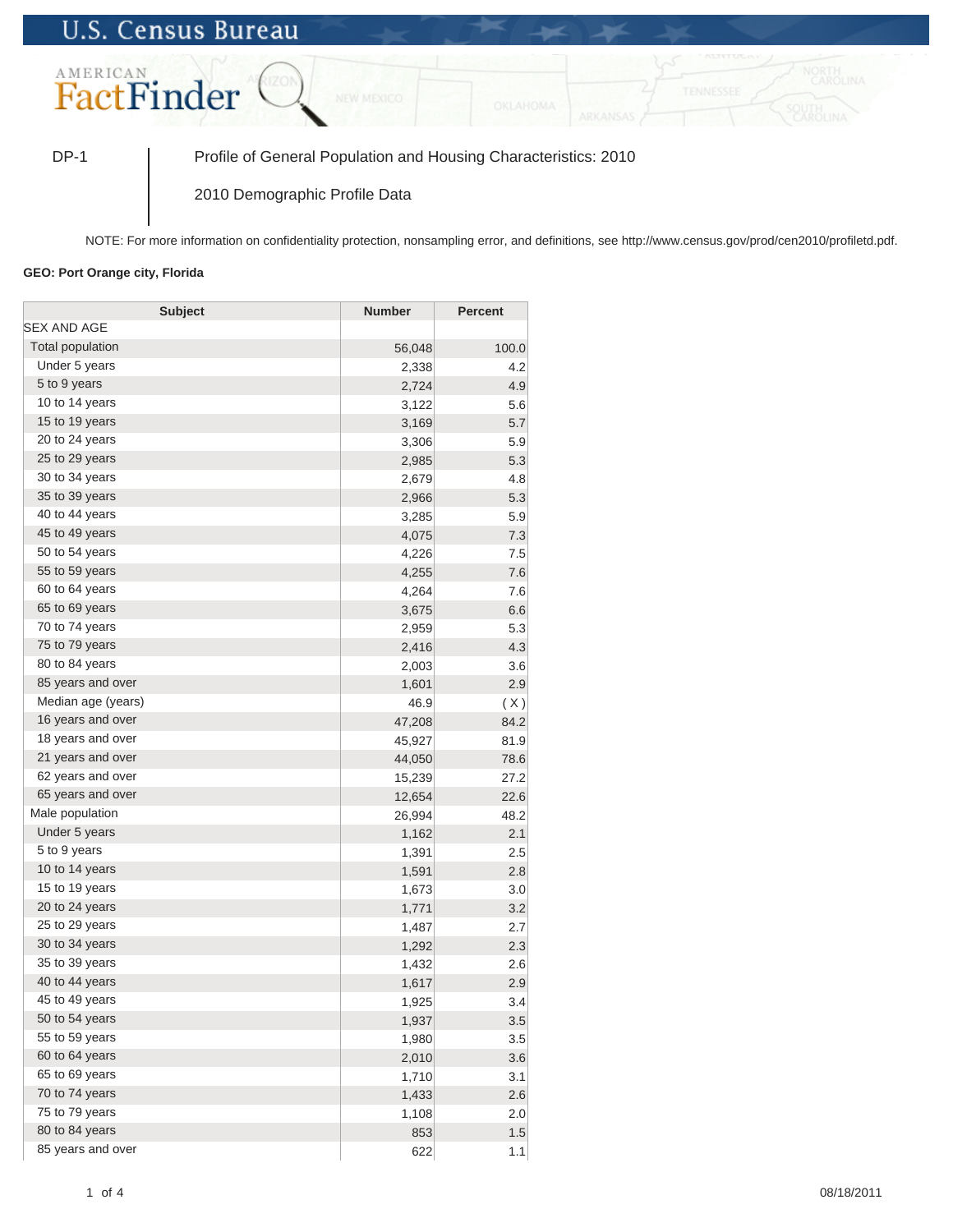## **U.S. Census Bureau**



DP-1 Profile of General Population and Housing Characteristics: 2010

2010 Demographic Profile Data

NOTE: For more information on confidentiality protection, nonsampling error, and definitions, see http://www.census.gov/prod/cen2010/profiletd.pdf.

## **GEO: Port Orange city, Florida**

| <b>Subject</b>     | <b>Number</b> | <b>Percent</b> |
|--------------------|---------------|----------------|
| <b>SEX AND AGE</b> |               |                |
| Total population   | 56,048        | 100.0          |
| Under 5 years      | 2,338         | 4.2            |
| 5 to 9 years       | 2,724         | 4.9            |
| 10 to 14 years     | 3,122         | 5.6            |
| 15 to 19 years     | 3,169         | 5.7            |
| 20 to 24 years     | 3,306         | 5.9            |
| 25 to 29 years     | 2,985         | 5.3            |
| 30 to 34 years     | 2,679         | 4.8            |
| 35 to 39 years     | 2,966         | 5.3            |
| 40 to 44 years     | 3,285         | 5.9            |
| 45 to 49 years     | 4,075         | 7.3            |
| 50 to 54 years     | 4,226         | 7.5            |
| 55 to 59 years     | 4,255         | 7.6            |
| 60 to 64 years     | 4,264         | 7.6            |
| 65 to 69 years     | 3,675         | 6.6            |
| 70 to 74 years     | 2,959         | 5.3            |
| 75 to 79 years     | 2,416         | 4.3            |
| 80 to 84 years     | 2,003         | 3.6            |
| 85 years and over  | 1,601         | 2.9            |
| Median age (years) | 46.9          | (X)            |
| 16 years and over  | 47,208        | 84.2           |
| 18 years and over  | 45,927        | 81.9           |
| 21 years and over  | 44,050        | 78.6           |
| 62 years and over  | 15,239        | 27.2           |
| 65 years and over  | 12,654        | 22.6           |
| Male population    | 26,994        | 48.2           |
| Under 5 years      | 1,162         | 2.1            |
| 5 to 9 years       | 1,391         | 2.5            |
| 10 to 14 years     | 1,591         | 2.8            |
| 15 to 19 years     | 1,673         | 3.0            |
| 20 to 24 years     | 1,771         | 3.2            |
| 25 to 29 years     | 1,487         | 2.7            |
| 30 to 34 years     | 1,292         | 2.3            |
| 35 to 39 years     | 1,432         | 2.6            |
| 40 to 44 years     | 1,617         | 2.9            |
| 45 to 49 years     | 1,925         | 3.4            |
| 50 to 54 years     | 1,937         | 3.5            |
| 55 to 59 years     | 1,980         | 3.5            |
| 60 to 64 years     | 2,010         | 3.6            |
| 65 to 69 years     | 1,710         | 3.1            |
| 70 to 74 years     | 1,433         | 2.6            |
| 75 to 79 years     | 1,108         | 2.0            |
| 80 to 84 years     | 853           | 1.5            |
| 85 years and over  | 622           | 1.1            |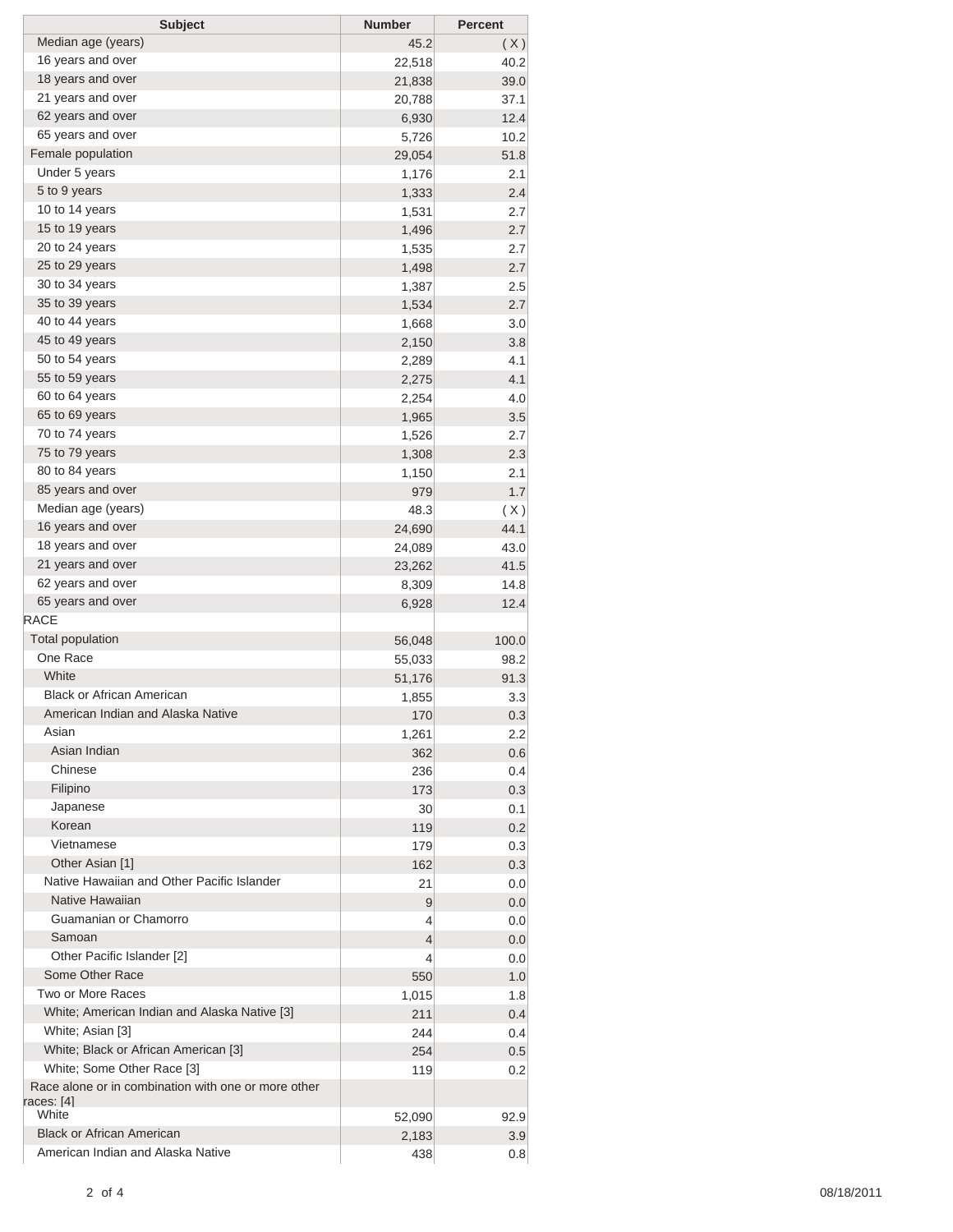| <b>Subject</b>                                      | <b>Number</b> | <b>Percent</b> |
|-----------------------------------------------------|---------------|----------------|
| Median age (years)                                  | 45.2          | (X)            |
| 16 years and over                                   | 22,518        | 40.2           |
| 18 years and over                                   | 21,838        | 39.0           |
| 21 years and over                                   | 20,788        | 37.1           |
| 62 years and over                                   | 6,930         | 12.4           |
| 65 years and over                                   | 5,726         | 10.2           |
| Female population                                   | 29,054        | 51.8           |
| Under 5 years                                       | 1,176         | 2.1            |
| 5 to 9 years                                        | 1,333         | 2.4            |
| 10 to 14 years                                      | 1,531         | 2.7            |
| 15 to 19 years                                      | 1,496         | 2.7            |
| 20 to 24 years                                      | 1,535         | 2.7            |
| 25 to 29 years                                      | 1,498         | 2.7            |
| 30 to 34 years                                      | 1,387         | 2.5            |
| 35 to 39 years                                      | 1,534         | 2.7            |
| 40 to 44 years                                      | 1,668         | 3.0            |
| 45 to 49 years                                      | 2,150         | 3.8            |
| 50 to 54 years                                      | 2,289         | 4.1            |
| 55 to 59 years                                      | 2,275         | 4.1            |
| 60 to 64 years                                      | 2,254         | 4.0            |
| 65 to 69 years                                      | 1,965         | 3.5            |
| 70 to 74 years                                      | 1,526         | 2.7            |
| 75 to 79 years                                      | 1,308         | 2.3            |
| 80 to 84 years                                      | 1,150         | 2.1            |
| 85 years and over                                   | 979           | 1.7            |
| Median age (years)                                  | 48.3          |                |
| 16 years and over                                   | 24,690        | (X)<br>44.1    |
| 18 years and over                                   |               |                |
| 21 years and over                                   | 24,089        | 43.0           |
| 62 years and over                                   | 23,262        | 41.5           |
| 65 years and over                                   | 8,309         | 14.8           |
| <b>RACE</b>                                         | 6,928         | 12.4           |
|                                                     |               |                |
| <b>Total population</b>                             | 56,048        | 100.0          |
| One Race                                            | 55,033        | 98.2           |
| White                                               | 51,176        | 91.3           |
| <b>Black or African American</b>                    | 1,855         | 3.3            |
| American Indian and Alaska Native                   | 170           | 0.3            |
| Asian                                               | 1,261         | 2.2            |
| Asian Indian                                        | 362           | 0.6            |
| Chinese                                             | 236           | 0.4            |
| Filipino                                            | 173           | 0.3            |
| Japanese                                            | 30            | 0.1            |
| Korean                                              | 119           | 0.2            |
| Vietnamese                                          | 179           | 0.3            |
| Other Asian [1]                                     | 162           | 0.3            |
| Native Hawaiian and Other Pacific Islander          | 21            | 0.0            |
| Native Hawaiian                                     | 9             | 0.0            |
| Guamanian or Chamorro                               | 4             | 0.0            |
| Samoan                                              | 4             | 0.0            |
| Other Pacific Islander [2]                          | 4             | 0.0            |
| Some Other Race                                     | 550           | 1.0            |
| Two or More Races                                   | 1,015         | 1.8            |
| White; American Indian and Alaska Native [3]        | 211           | 0.4            |
| White; Asian [3]                                    | 244           | 0.4            |
| White; Black or African American [3]                | 254           | 0.5            |
| White; Some Other Race [3]                          | 119           | 0.2            |
| Race alone or in combination with one or more other |               |                |
| races: [4]                                          |               |                |
| White                                               | 52,090        | 92.9           |
| <b>Black or African American</b>                    | 2,183         | 3.9            |
| American Indian and Alaska Native                   | 438           | 0.8            |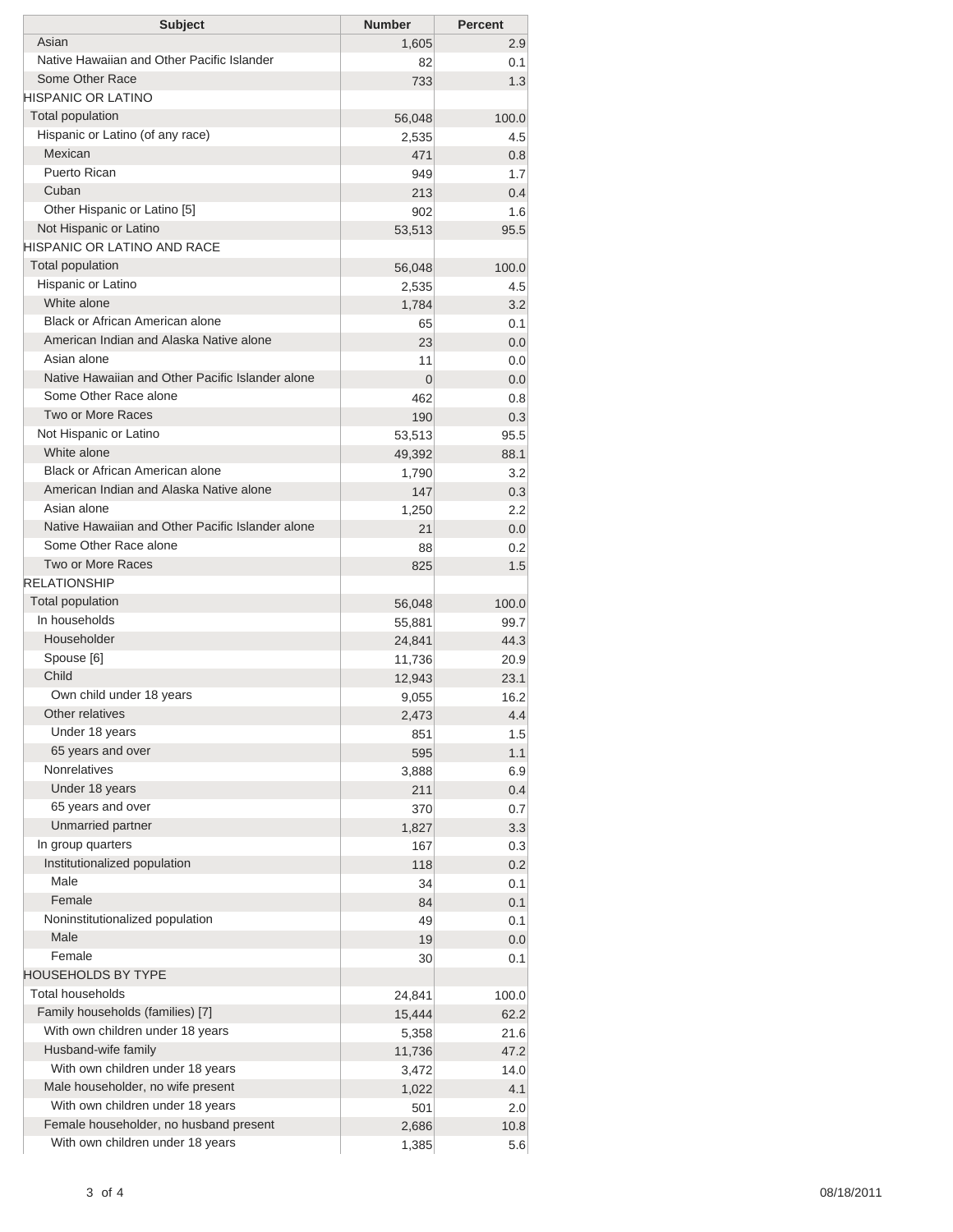| Asian<br>1,605<br>2.9<br>Native Hawaiian and Other Pacific Islander<br>0.1<br>82<br>Some Other Race<br>733<br>1.3<br><b>HISPANIC OR LATINO</b><br><b>Total population</b><br>56,048<br>100.0<br>Hispanic or Latino (of any race)<br>4.5<br>2,535<br>Mexican<br>471<br>0.8<br>Puerto Rican<br>949<br>1.7<br>Cuban<br>213<br>0.4<br>Other Hispanic or Latino [5]<br>902<br>1.6<br>Not Hispanic or Latino<br>53,513<br>95.5<br><b>HISPANIC OR LATINO AND RACE</b><br><b>Total population</b><br>56,048<br>100.0<br>Hispanic or Latino<br>4.5<br>2,535<br>White alone<br>3.2<br>1,784<br>Black or African American alone<br>0.1<br>65<br>American Indian and Alaska Native alone<br>0.0<br>23<br>Asian alone<br>11<br>0.0<br>Native Hawaiian and Other Pacific Islander alone<br>$\overline{0}$<br>0.0<br>Some Other Race alone<br>462<br>0.8<br>Two or More Races<br>190<br>0.3<br>Not Hispanic or Latino<br>53,513<br>95.5<br>White alone<br>88.1<br>49,392<br><b>Black or African American alone</b><br>3.2<br>1,790<br>American Indian and Alaska Native alone<br>147<br>0.3<br>Asian alone<br>2.2<br>1,250<br>Native Hawaiian and Other Pacific Islander alone<br>21<br>0.0<br>Some Other Race alone<br>0.2<br>88<br><b>Two or More Races</b><br>825<br>1.5<br><b>RELATIONSHIP</b><br><b>Total population</b><br>56,048<br>100.0<br>In households<br>99.7<br>55,881<br>Householder<br>44.3<br>24,841<br>Spouse [6]<br>11,736<br>20.9<br>Child<br>23.1<br>12,943<br>Own child under 18 years<br>16.2<br>9,055<br>Other relatives<br>2,473<br>4.4<br>Under 18 years<br>851<br>1.5<br>65 years and over<br>595<br>1.1<br><b>Nonrelatives</b><br>3,888<br>6.9<br>Under 18 years<br>211<br>65 years and over<br>370<br>0.7<br>Unmarried partner<br>1,827<br>In group quarters<br>167<br>Institutionalized population<br>118<br>0.2<br>Male<br>0.1<br>34<br>Female<br>84<br>0.1<br>Noninstitutionalized population<br>49<br>0.1<br>Male<br>19<br>0.0<br>Female<br>30<br>0.1<br><b>HOUSEHOLDS BY TYPE</b><br><b>Total households</b><br>24,841<br>100.0<br>Family households (families) [7]<br>15,444<br>62.2<br>With own children under 18 years<br>21.6<br>5,358<br>Husband-wife family<br>11,736<br>47.2<br>With own children under 18 years<br>14.0<br>3,472<br>Male householder, no wife present<br>4.1<br>1,022<br>With own children under 18 years<br>501<br>2.0<br>Female householder, no husband present<br>2,686<br>10.8<br>With own children under 18 years<br>1,385 | <b>Subject</b> | <b>Number</b> | <b>Percent</b> |
|---------------------------------------------------------------------------------------------------------------------------------------------------------------------------------------------------------------------------------------------------------------------------------------------------------------------------------------------------------------------------------------------------------------------------------------------------------------------------------------------------------------------------------------------------------------------------------------------------------------------------------------------------------------------------------------------------------------------------------------------------------------------------------------------------------------------------------------------------------------------------------------------------------------------------------------------------------------------------------------------------------------------------------------------------------------------------------------------------------------------------------------------------------------------------------------------------------------------------------------------------------------------------------------------------------------------------------------------------------------------------------------------------------------------------------------------------------------------------------------------------------------------------------------------------------------------------------------------------------------------------------------------------------------------------------------------------------------------------------------------------------------------------------------------------------------------------------------------------------------------------------------------------------------------------------------------------------------------------------------------------------------------------------------------------------------------------------------------------------------------------------------------------------------------------------------------------------------------------------------------------------------------------------------------------------------------------------------------------------------------------------------------------------------------------------------------------------------------------|----------------|---------------|----------------|
|                                                                                                                                                                                                                                                                                                                                                                                                                                                                                                                                                                                                                                                                                                                                                                                                                                                                                                                                                                                                                                                                                                                                                                                                                                                                                                                                                                                                                                                                                                                                                                                                                                                                                                                                                                                                                                                                                                                                                                                                                                                                                                                                                                                                                                                                                                                                                                                                                                                                           |                |               |                |
|                                                                                                                                                                                                                                                                                                                                                                                                                                                                                                                                                                                                                                                                                                                                                                                                                                                                                                                                                                                                                                                                                                                                                                                                                                                                                                                                                                                                                                                                                                                                                                                                                                                                                                                                                                                                                                                                                                                                                                                                                                                                                                                                                                                                                                                                                                                                                                                                                                                                           |                |               |                |
|                                                                                                                                                                                                                                                                                                                                                                                                                                                                                                                                                                                                                                                                                                                                                                                                                                                                                                                                                                                                                                                                                                                                                                                                                                                                                                                                                                                                                                                                                                                                                                                                                                                                                                                                                                                                                                                                                                                                                                                                                                                                                                                                                                                                                                                                                                                                                                                                                                                                           |                |               |                |
|                                                                                                                                                                                                                                                                                                                                                                                                                                                                                                                                                                                                                                                                                                                                                                                                                                                                                                                                                                                                                                                                                                                                                                                                                                                                                                                                                                                                                                                                                                                                                                                                                                                                                                                                                                                                                                                                                                                                                                                                                                                                                                                                                                                                                                                                                                                                                                                                                                                                           |                |               |                |
|                                                                                                                                                                                                                                                                                                                                                                                                                                                                                                                                                                                                                                                                                                                                                                                                                                                                                                                                                                                                                                                                                                                                                                                                                                                                                                                                                                                                                                                                                                                                                                                                                                                                                                                                                                                                                                                                                                                                                                                                                                                                                                                                                                                                                                                                                                                                                                                                                                                                           |                |               |                |
|                                                                                                                                                                                                                                                                                                                                                                                                                                                                                                                                                                                                                                                                                                                                                                                                                                                                                                                                                                                                                                                                                                                                                                                                                                                                                                                                                                                                                                                                                                                                                                                                                                                                                                                                                                                                                                                                                                                                                                                                                                                                                                                                                                                                                                                                                                                                                                                                                                                                           |                |               |                |
|                                                                                                                                                                                                                                                                                                                                                                                                                                                                                                                                                                                                                                                                                                                                                                                                                                                                                                                                                                                                                                                                                                                                                                                                                                                                                                                                                                                                                                                                                                                                                                                                                                                                                                                                                                                                                                                                                                                                                                                                                                                                                                                                                                                                                                                                                                                                                                                                                                                                           |                |               |                |
|                                                                                                                                                                                                                                                                                                                                                                                                                                                                                                                                                                                                                                                                                                                                                                                                                                                                                                                                                                                                                                                                                                                                                                                                                                                                                                                                                                                                                                                                                                                                                                                                                                                                                                                                                                                                                                                                                                                                                                                                                                                                                                                                                                                                                                                                                                                                                                                                                                                                           |                |               |                |
|                                                                                                                                                                                                                                                                                                                                                                                                                                                                                                                                                                                                                                                                                                                                                                                                                                                                                                                                                                                                                                                                                                                                                                                                                                                                                                                                                                                                                                                                                                                                                                                                                                                                                                                                                                                                                                                                                                                                                                                                                                                                                                                                                                                                                                                                                                                                                                                                                                                                           |                |               |                |
|                                                                                                                                                                                                                                                                                                                                                                                                                                                                                                                                                                                                                                                                                                                                                                                                                                                                                                                                                                                                                                                                                                                                                                                                                                                                                                                                                                                                                                                                                                                                                                                                                                                                                                                                                                                                                                                                                                                                                                                                                                                                                                                                                                                                                                                                                                                                                                                                                                                                           |                |               |                |
|                                                                                                                                                                                                                                                                                                                                                                                                                                                                                                                                                                                                                                                                                                                                                                                                                                                                                                                                                                                                                                                                                                                                                                                                                                                                                                                                                                                                                                                                                                                                                                                                                                                                                                                                                                                                                                                                                                                                                                                                                                                                                                                                                                                                                                                                                                                                                                                                                                                                           |                |               |                |
|                                                                                                                                                                                                                                                                                                                                                                                                                                                                                                                                                                                                                                                                                                                                                                                                                                                                                                                                                                                                                                                                                                                                                                                                                                                                                                                                                                                                                                                                                                                                                                                                                                                                                                                                                                                                                                                                                                                                                                                                                                                                                                                                                                                                                                                                                                                                                                                                                                                                           |                |               |                |
|                                                                                                                                                                                                                                                                                                                                                                                                                                                                                                                                                                                                                                                                                                                                                                                                                                                                                                                                                                                                                                                                                                                                                                                                                                                                                                                                                                                                                                                                                                                                                                                                                                                                                                                                                                                                                                                                                                                                                                                                                                                                                                                                                                                                                                                                                                                                                                                                                                                                           |                |               |                |
|                                                                                                                                                                                                                                                                                                                                                                                                                                                                                                                                                                                                                                                                                                                                                                                                                                                                                                                                                                                                                                                                                                                                                                                                                                                                                                                                                                                                                                                                                                                                                                                                                                                                                                                                                                                                                                                                                                                                                                                                                                                                                                                                                                                                                                                                                                                                                                                                                                                                           |                |               |                |
|                                                                                                                                                                                                                                                                                                                                                                                                                                                                                                                                                                                                                                                                                                                                                                                                                                                                                                                                                                                                                                                                                                                                                                                                                                                                                                                                                                                                                                                                                                                                                                                                                                                                                                                                                                                                                                                                                                                                                                                                                                                                                                                                                                                                                                                                                                                                                                                                                                                                           |                |               |                |
|                                                                                                                                                                                                                                                                                                                                                                                                                                                                                                                                                                                                                                                                                                                                                                                                                                                                                                                                                                                                                                                                                                                                                                                                                                                                                                                                                                                                                                                                                                                                                                                                                                                                                                                                                                                                                                                                                                                                                                                                                                                                                                                                                                                                                                                                                                                                                                                                                                                                           |                |               |                |
|                                                                                                                                                                                                                                                                                                                                                                                                                                                                                                                                                                                                                                                                                                                                                                                                                                                                                                                                                                                                                                                                                                                                                                                                                                                                                                                                                                                                                                                                                                                                                                                                                                                                                                                                                                                                                                                                                                                                                                                                                                                                                                                                                                                                                                                                                                                                                                                                                                                                           |                |               |                |
|                                                                                                                                                                                                                                                                                                                                                                                                                                                                                                                                                                                                                                                                                                                                                                                                                                                                                                                                                                                                                                                                                                                                                                                                                                                                                                                                                                                                                                                                                                                                                                                                                                                                                                                                                                                                                                                                                                                                                                                                                                                                                                                                                                                                                                                                                                                                                                                                                                                                           |                |               |                |
|                                                                                                                                                                                                                                                                                                                                                                                                                                                                                                                                                                                                                                                                                                                                                                                                                                                                                                                                                                                                                                                                                                                                                                                                                                                                                                                                                                                                                                                                                                                                                                                                                                                                                                                                                                                                                                                                                                                                                                                                                                                                                                                                                                                                                                                                                                                                                                                                                                                                           |                |               |                |
|                                                                                                                                                                                                                                                                                                                                                                                                                                                                                                                                                                                                                                                                                                                                                                                                                                                                                                                                                                                                                                                                                                                                                                                                                                                                                                                                                                                                                                                                                                                                                                                                                                                                                                                                                                                                                                                                                                                                                                                                                                                                                                                                                                                                                                                                                                                                                                                                                                                                           |                |               |                |
|                                                                                                                                                                                                                                                                                                                                                                                                                                                                                                                                                                                                                                                                                                                                                                                                                                                                                                                                                                                                                                                                                                                                                                                                                                                                                                                                                                                                                                                                                                                                                                                                                                                                                                                                                                                                                                                                                                                                                                                                                                                                                                                                                                                                                                                                                                                                                                                                                                                                           |                |               |                |
|                                                                                                                                                                                                                                                                                                                                                                                                                                                                                                                                                                                                                                                                                                                                                                                                                                                                                                                                                                                                                                                                                                                                                                                                                                                                                                                                                                                                                                                                                                                                                                                                                                                                                                                                                                                                                                                                                                                                                                                                                                                                                                                                                                                                                                                                                                                                                                                                                                                                           |                |               |                |
|                                                                                                                                                                                                                                                                                                                                                                                                                                                                                                                                                                                                                                                                                                                                                                                                                                                                                                                                                                                                                                                                                                                                                                                                                                                                                                                                                                                                                                                                                                                                                                                                                                                                                                                                                                                                                                                                                                                                                                                                                                                                                                                                                                                                                                                                                                                                                                                                                                                                           |                |               |                |
|                                                                                                                                                                                                                                                                                                                                                                                                                                                                                                                                                                                                                                                                                                                                                                                                                                                                                                                                                                                                                                                                                                                                                                                                                                                                                                                                                                                                                                                                                                                                                                                                                                                                                                                                                                                                                                                                                                                                                                                                                                                                                                                                                                                                                                                                                                                                                                                                                                                                           |                |               |                |
|                                                                                                                                                                                                                                                                                                                                                                                                                                                                                                                                                                                                                                                                                                                                                                                                                                                                                                                                                                                                                                                                                                                                                                                                                                                                                                                                                                                                                                                                                                                                                                                                                                                                                                                                                                                                                                                                                                                                                                                                                                                                                                                                                                                                                                                                                                                                                                                                                                                                           |                |               |                |
|                                                                                                                                                                                                                                                                                                                                                                                                                                                                                                                                                                                                                                                                                                                                                                                                                                                                                                                                                                                                                                                                                                                                                                                                                                                                                                                                                                                                                                                                                                                                                                                                                                                                                                                                                                                                                                                                                                                                                                                                                                                                                                                                                                                                                                                                                                                                                                                                                                                                           |                |               |                |
|                                                                                                                                                                                                                                                                                                                                                                                                                                                                                                                                                                                                                                                                                                                                                                                                                                                                                                                                                                                                                                                                                                                                                                                                                                                                                                                                                                                                                                                                                                                                                                                                                                                                                                                                                                                                                                                                                                                                                                                                                                                                                                                                                                                                                                                                                                                                                                                                                                                                           |                |               |                |
|                                                                                                                                                                                                                                                                                                                                                                                                                                                                                                                                                                                                                                                                                                                                                                                                                                                                                                                                                                                                                                                                                                                                                                                                                                                                                                                                                                                                                                                                                                                                                                                                                                                                                                                                                                                                                                                                                                                                                                                                                                                                                                                                                                                                                                                                                                                                                                                                                                                                           |                |               |                |
|                                                                                                                                                                                                                                                                                                                                                                                                                                                                                                                                                                                                                                                                                                                                                                                                                                                                                                                                                                                                                                                                                                                                                                                                                                                                                                                                                                                                                                                                                                                                                                                                                                                                                                                                                                                                                                                                                                                                                                                                                                                                                                                                                                                                                                                                                                                                                                                                                                                                           |                |               |                |
|                                                                                                                                                                                                                                                                                                                                                                                                                                                                                                                                                                                                                                                                                                                                                                                                                                                                                                                                                                                                                                                                                                                                                                                                                                                                                                                                                                                                                                                                                                                                                                                                                                                                                                                                                                                                                                                                                                                                                                                                                                                                                                                                                                                                                                                                                                                                                                                                                                                                           |                |               |                |
|                                                                                                                                                                                                                                                                                                                                                                                                                                                                                                                                                                                                                                                                                                                                                                                                                                                                                                                                                                                                                                                                                                                                                                                                                                                                                                                                                                                                                                                                                                                                                                                                                                                                                                                                                                                                                                                                                                                                                                                                                                                                                                                                                                                                                                                                                                                                                                                                                                                                           |                |               |                |
|                                                                                                                                                                                                                                                                                                                                                                                                                                                                                                                                                                                                                                                                                                                                                                                                                                                                                                                                                                                                                                                                                                                                                                                                                                                                                                                                                                                                                                                                                                                                                                                                                                                                                                                                                                                                                                                                                                                                                                                                                                                                                                                                                                                                                                                                                                                                                                                                                                                                           |                |               |                |
|                                                                                                                                                                                                                                                                                                                                                                                                                                                                                                                                                                                                                                                                                                                                                                                                                                                                                                                                                                                                                                                                                                                                                                                                                                                                                                                                                                                                                                                                                                                                                                                                                                                                                                                                                                                                                                                                                                                                                                                                                                                                                                                                                                                                                                                                                                                                                                                                                                                                           |                |               |                |
|                                                                                                                                                                                                                                                                                                                                                                                                                                                                                                                                                                                                                                                                                                                                                                                                                                                                                                                                                                                                                                                                                                                                                                                                                                                                                                                                                                                                                                                                                                                                                                                                                                                                                                                                                                                                                                                                                                                                                                                                                                                                                                                                                                                                                                                                                                                                                                                                                                                                           |                |               |                |
|                                                                                                                                                                                                                                                                                                                                                                                                                                                                                                                                                                                                                                                                                                                                                                                                                                                                                                                                                                                                                                                                                                                                                                                                                                                                                                                                                                                                                                                                                                                                                                                                                                                                                                                                                                                                                                                                                                                                                                                                                                                                                                                                                                                                                                                                                                                                                                                                                                                                           |                |               |                |
|                                                                                                                                                                                                                                                                                                                                                                                                                                                                                                                                                                                                                                                                                                                                                                                                                                                                                                                                                                                                                                                                                                                                                                                                                                                                                                                                                                                                                                                                                                                                                                                                                                                                                                                                                                                                                                                                                                                                                                                                                                                                                                                                                                                                                                                                                                                                                                                                                                                                           |                |               |                |
|                                                                                                                                                                                                                                                                                                                                                                                                                                                                                                                                                                                                                                                                                                                                                                                                                                                                                                                                                                                                                                                                                                                                                                                                                                                                                                                                                                                                                                                                                                                                                                                                                                                                                                                                                                                                                                                                                                                                                                                                                                                                                                                                                                                                                                                                                                                                                                                                                                                                           |                |               |                |
|                                                                                                                                                                                                                                                                                                                                                                                                                                                                                                                                                                                                                                                                                                                                                                                                                                                                                                                                                                                                                                                                                                                                                                                                                                                                                                                                                                                                                                                                                                                                                                                                                                                                                                                                                                                                                                                                                                                                                                                                                                                                                                                                                                                                                                                                                                                                                                                                                                                                           |                |               |                |
|                                                                                                                                                                                                                                                                                                                                                                                                                                                                                                                                                                                                                                                                                                                                                                                                                                                                                                                                                                                                                                                                                                                                                                                                                                                                                                                                                                                                                                                                                                                                                                                                                                                                                                                                                                                                                                                                                                                                                                                                                                                                                                                                                                                                                                                                                                                                                                                                                                                                           |                |               |                |
|                                                                                                                                                                                                                                                                                                                                                                                                                                                                                                                                                                                                                                                                                                                                                                                                                                                                                                                                                                                                                                                                                                                                                                                                                                                                                                                                                                                                                                                                                                                                                                                                                                                                                                                                                                                                                                                                                                                                                                                                                                                                                                                                                                                                                                                                                                                                                                                                                                                                           |                |               |                |
|                                                                                                                                                                                                                                                                                                                                                                                                                                                                                                                                                                                                                                                                                                                                                                                                                                                                                                                                                                                                                                                                                                                                                                                                                                                                                                                                                                                                                                                                                                                                                                                                                                                                                                                                                                                                                                                                                                                                                                                                                                                                                                                                                                                                                                                                                                                                                                                                                                                                           |                |               | 0.4            |
|                                                                                                                                                                                                                                                                                                                                                                                                                                                                                                                                                                                                                                                                                                                                                                                                                                                                                                                                                                                                                                                                                                                                                                                                                                                                                                                                                                                                                                                                                                                                                                                                                                                                                                                                                                                                                                                                                                                                                                                                                                                                                                                                                                                                                                                                                                                                                                                                                                                                           |                |               |                |
|                                                                                                                                                                                                                                                                                                                                                                                                                                                                                                                                                                                                                                                                                                                                                                                                                                                                                                                                                                                                                                                                                                                                                                                                                                                                                                                                                                                                                                                                                                                                                                                                                                                                                                                                                                                                                                                                                                                                                                                                                                                                                                                                                                                                                                                                                                                                                                                                                                                                           |                |               | 3.3            |
|                                                                                                                                                                                                                                                                                                                                                                                                                                                                                                                                                                                                                                                                                                                                                                                                                                                                                                                                                                                                                                                                                                                                                                                                                                                                                                                                                                                                                                                                                                                                                                                                                                                                                                                                                                                                                                                                                                                                                                                                                                                                                                                                                                                                                                                                                                                                                                                                                                                                           |                |               | 0.3            |
|                                                                                                                                                                                                                                                                                                                                                                                                                                                                                                                                                                                                                                                                                                                                                                                                                                                                                                                                                                                                                                                                                                                                                                                                                                                                                                                                                                                                                                                                                                                                                                                                                                                                                                                                                                                                                                                                                                                                                                                                                                                                                                                                                                                                                                                                                                                                                                                                                                                                           |                |               |                |
|                                                                                                                                                                                                                                                                                                                                                                                                                                                                                                                                                                                                                                                                                                                                                                                                                                                                                                                                                                                                                                                                                                                                                                                                                                                                                                                                                                                                                                                                                                                                                                                                                                                                                                                                                                                                                                                                                                                                                                                                                                                                                                                                                                                                                                                                                                                                                                                                                                                                           |                |               |                |
|                                                                                                                                                                                                                                                                                                                                                                                                                                                                                                                                                                                                                                                                                                                                                                                                                                                                                                                                                                                                                                                                                                                                                                                                                                                                                                                                                                                                                                                                                                                                                                                                                                                                                                                                                                                                                                                                                                                                                                                                                                                                                                                                                                                                                                                                                                                                                                                                                                                                           |                |               |                |
|                                                                                                                                                                                                                                                                                                                                                                                                                                                                                                                                                                                                                                                                                                                                                                                                                                                                                                                                                                                                                                                                                                                                                                                                                                                                                                                                                                                                                                                                                                                                                                                                                                                                                                                                                                                                                                                                                                                                                                                                                                                                                                                                                                                                                                                                                                                                                                                                                                                                           |                |               |                |
|                                                                                                                                                                                                                                                                                                                                                                                                                                                                                                                                                                                                                                                                                                                                                                                                                                                                                                                                                                                                                                                                                                                                                                                                                                                                                                                                                                                                                                                                                                                                                                                                                                                                                                                                                                                                                                                                                                                                                                                                                                                                                                                                                                                                                                                                                                                                                                                                                                                                           |                |               |                |
|                                                                                                                                                                                                                                                                                                                                                                                                                                                                                                                                                                                                                                                                                                                                                                                                                                                                                                                                                                                                                                                                                                                                                                                                                                                                                                                                                                                                                                                                                                                                                                                                                                                                                                                                                                                                                                                                                                                                                                                                                                                                                                                                                                                                                                                                                                                                                                                                                                                                           |                |               |                |
|                                                                                                                                                                                                                                                                                                                                                                                                                                                                                                                                                                                                                                                                                                                                                                                                                                                                                                                                                                                                                                                                                                                                                                                                                                                                                                                                                                                                                                                                                                                                                                                                                                                                                                                                                                                                                                                                                                                                                                                                                                                                                                                                                                                                                                                                                                                                                                                                                                                                           |                |               |                |
|                                                                                                                                                                                                                                                                                                                                                                                                                                                                                                                                                                                                                                                                                                                                                                                                                                                                                                                                                                                                                                                                                                                                                                                                                                                                                                                                                                                                                                                                                                                                                                                                                                                                                                                                                                                                                                                                                                                                                                                                                                                                                                                                                                                                                                                                                                                                                                                                                                                                           |                |               |                |
|                                                                                                                                                                                                                                                                                                                                                                                                                                                                                                                                                                                                                                                                                                                                                                                                                                                                                                                                                                                                                                                                                                                                                                                                                                                                                                                                                                                                                                                                                                                                                                                                                                                                                                                                                                                                                                                                                                                                                                                                                                                                                                                                                                                                                                                                                                                                                                                                                                                                           |                |               |                |
|                                                                                                                                                                                                                                                                                                                                                                                                                                                                                                                                                                                                                                                                                                                                                                                                                                                                                                                                                                                                                                                                                                                                                                                                                                                                                                                                                                                                                                                                                                                                                                                                                                                                                                                                                                                                                                                                                                                                                                                                                                                                                                                                                                                                                                                                                                                                                                                                                                                                           |                |               |                |
|                                                                                                                                                                                                                                                                                                                                                                                                                                                                                                                                                                                                                                                                                                                                                                                                                                                                                                                                                                                                                                                                                                                                                                                                                                                                                                                                                                                                                                                                                                                                                                                                                                                                                                                                                                                                                                                                                                                                                                                                                                                                                                                                                                                                                                                                                                                                                                                                                                                                           |                |               |                |
|                                                                                                                                                                                                                                                                                                                                                                                                                                                                                                                                                                                                                                                                                                                                                                                                                                                                                                                                                                                                                                                                                                                                                                                                                                                                                                                                                                                                                                                                                                                                                                                                                                                                                                                                                                                                                                                                                                                                                                                                                                                                                                                                                                                                                                                                                                                                                                                                                                                                           |                |               |                |
|                                                                                                                                                                                                                                                                                                                                                                                                                                                                                                                                                                                                                                                                                                                                                                                                                                                                                                                                                                                                                                                                                                                                                                                                                                                                                                                                                                                                                                                                                                                                                                                                                                                                                                                                                                                                                                                                                                                                                                                                                                                                                                                                                                                                                                                                                                                                                                                                                                                                           |                |               |                |
|                                                                                                                                                                                                                                                                                                                                                                                                                                                                                                                                                                                                                                                                                                                                                                                                                                                                                                                                                                                                                                                                                                                                                                                                                                                                                                                                                                                                                                                                                                                                                                                                                                                                                                                                                                                                                                                                                                                                                                                                                                                                                                                                                                                                                                                                                                                                                                                                                                                                           |                |               |                |
|                                                                                                                                                                                                                                                                                                                                                                                                                                                                                                                                                                                                                                                                                                                                                                                                                                                                                                                                                                                                                                                                                                                                                                                                                                                                                                                                                                                                                                                                                                                                                                                                                                                                                                                                                                                                                                                                                                                                                                                                                                                                                                                                                                                                                                                                                                                                                                                                                                                                           |                |               |                |
|                                                                                                                                                                                                                                                                                                                                                                                                                                                                                                                                                                                                                                                                                                                                                                                                                                                                                                                                                                                                                                                                                                                                                                                                                                                                                                                                                                                                                                                                                                                                                                                                                                                                                                                                                                                                                                                                                                                                                                                                                                                                                                                                                                                                                                                                                                                                                                                                                                                                           |                |               | 5.6            |